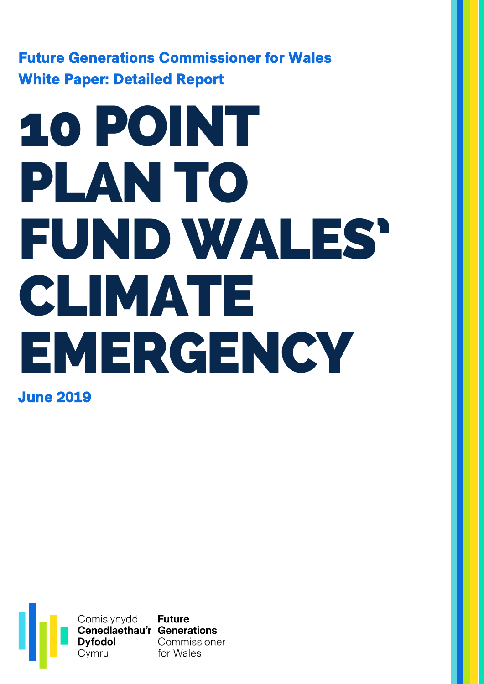Future Generations Commissioner for Wales White Paper: Detailed Report

# 10 POINT PLAN TO FUNDWALES' CLIMATE EMERGENCY

June 2019

Comisiynydd Future<br>Cenedlaethau'r Generations **Dyfodol** Commissioner<br>Cymru for Wales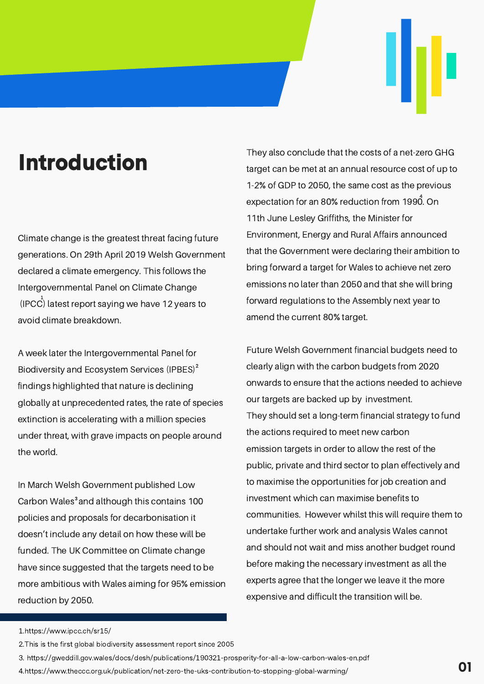### Introduction

Climate change is the greatest threat facing future generations. On 29th April 2019 Welsh Government declared a climate emergency. This follows the Intergovernmental Panel on Climate Change (IPCC) latest report saying we have 12 years to avoid climate breakdown.

A week later the Intergovernmental Panel for Biodiversity and Ecosystem Services (IPBES)<sup>2</sup> findings highlighted that nature is declining globally at unprecedented rates, the rate of species extinction is accelerating with a million species under threat, with grave impacts on people around the world.

In March Welsh Government published Low Carbon Wales<sup>3</sup> and although this contains 100 policies and proposals for decarbonisation it doesn't include any detail on how these will be funded. The UK Committee on Climate change have since suggested that the targets need to be more ambitious with Wales aiming for 95% emission reduction by 2050.

They also conclude that the costs of a net-zero GHG target can be met at an annual resource cost of up to 1-2% of GDP to 2050, the same cost as the previous expectation for an 80% reduction from 1990. On 11th June Lesley Griffiths, the Minister for Environment, Energy and Rural Affairs announced that the Government were declaring their ambition to bring forward a target for Wales to achieve net zero emissions no later than 2050 and that she will bring forward regulations to the Assembly next year to amend the current 80% target.

Future Welsh Government financial budgets need to clearly align with the carbon budgets from 2020 onwards to ensure that the actions needed to achieve our targets are backed up by investment. They should set a long-term financial strategy to fund the actions required to meet new carbon emission targets in order to allow the rest of the public, private and third sector to plan effectively and to maximise the opportunities for job creation and investment which can maximise benefits to communities. However whilst this will require them to undertake further work and analysis Wales cannot and should not wait and miss another budget round before making the necessary investment as all the experts agree that the longer we leave it the more expensive and difficult the transition will be.

https://www.ipcc.ch/sr15/ 1.

<sup>2.</sup> This is the first global biodiversity assessment report since 2005

https://gweddill.gov.wales/docs/desh/publications/190321-prosperity-for-all-a-low-carbon-wales-en.pdf 3.

https://www.theccc.org.uk/publication/net-zero-the-uks-contribution-to-stopping-global-warming/ 4.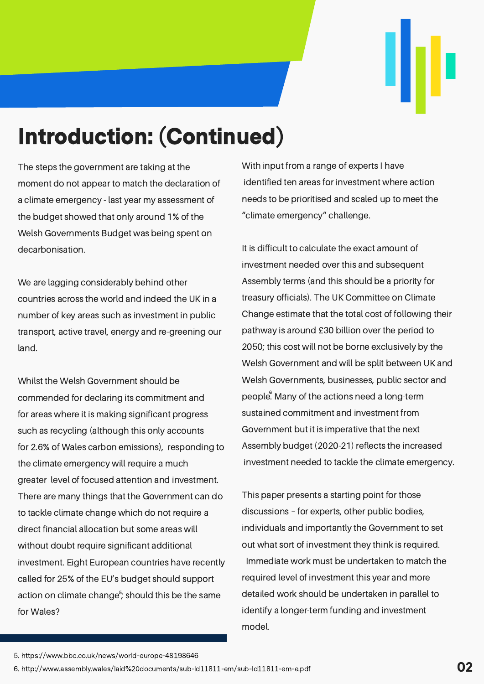# Introduction: (Continued)

The steps the government are taking at the moment do not appear to match the declaration of a climate emergency - last year my assessment of the budget showed that only around 1% of the Welsh Governments Budget was being spent on decarbonisation.

We are lagging considerably behind other countries across the world and indeed the UK in a number of key areas such as investment in public transport, active travel, energy and re-greening our land.

Whilst the Welsh Government should be commended for declaring its commitment and for areas where it is making significant progress such as recycling (although this only accounts for 2.6% of Wales carbon emissions), responding to the climate emergency will require a much greater level of focused attention and investment. There are many things that the Government can do to tackle climate change which do not require a direct financial allocation but some areas will without doubt require significant additional investment. Eight European countries have recently called for 25% of the EU's budget should support action on climate change<sup>5</sup>; should this be the same for Wales?

With input from a range of experts I have identified ten areas for investment where action needs to be prioritised and scaled up to meet the "climate emergency" challenge.

It is difficult to calculate the exact amount of investment needed over this and subsequent Assembly terms (and this should be a priority for treasury officials). The UK Committee on Climate Change estimate that the total cost of following their pathway is around £30 billion over the period to 2050; this cost will not be borne exclusively by the Welsh Government and will be split between UK and Welsh Governments, businesses, public sector and people. Many of the actions need a long-term sustained commitment and investment from Government but it is imperative that the next Assembly budget (2020-21) reflects the increased investment needed to tackle the climate emergency.

This paper presents a starting point for those discussions – for experts, other public bodies, individuals and importantly the Government to set out what sort of investment they think is required. Immediate work must be undertaken to match the required level of investment this year and more detailed work should be undertaken in parallel to identify a longer-term funding and investment model.

<sup>5.</sup> https://www.bbc.co.uk/news/world-europe-48198646

<sup>6.</sup> http://www.assembly.wales/laid%20documents/sub-ld11811-em/sub-ld11811-em-e.pdf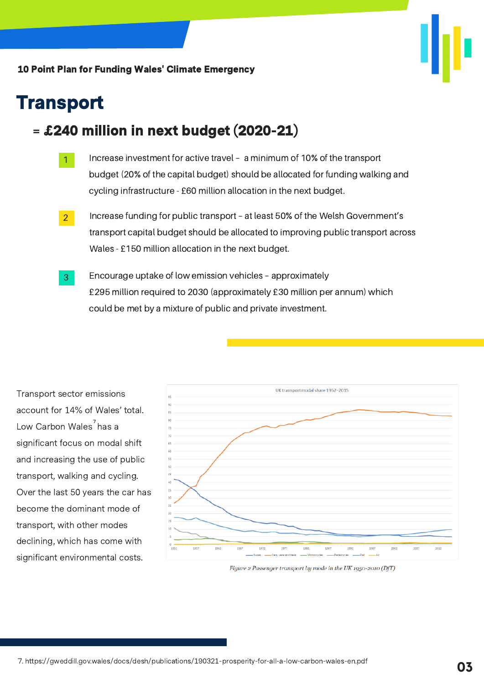

### **Transport**

### = £240 million in next budget (2020-21)

- Increase investment for active travel a minimum of 10% of the transport budget (20% of the capital budget) should be allocated for funding walking and cycling infrastructure - £60 million allocation in the next budget. 1
- Increase funding for public transport at least 50% of the Welsh Government's transport capital budget should be allocated to improving public transport across Wales - £150 million allocation in the next budget. 2
- Encourage uptake of low emission vehicles approximately £295 million required to 2030 (approximately £30 million per annum) which could be met by a mixture of public and private investment. 3

Transport sector emissions account for 14% of Wales' total. Low Carbon Wales<sup>7</sup>has a significant focus on modal shift and increasing the use of public transport, walking and cycling. Over the last 50 years the car has become the dominant mode of transport, with other modes declining, which has come with significant environmental costs.



Figure 2 Passenger transport by mode in the UK 1950-2010 (DfT)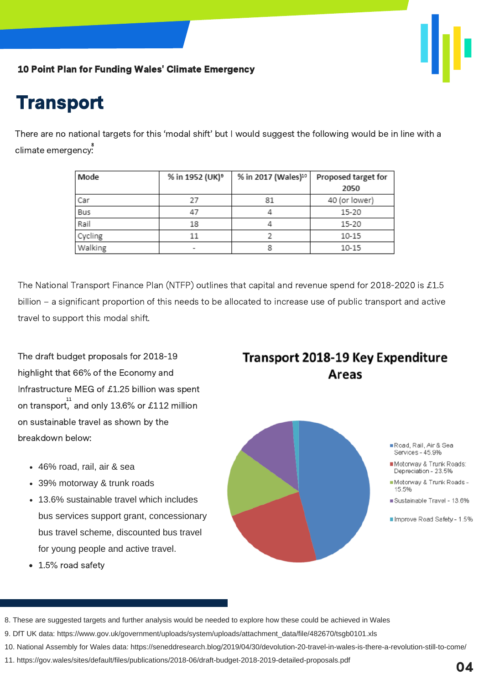

### **Transport**

There are no national targets for this 'modal shift' but I would suggest the following would be in line with a climate emergency: 8

| Mode    | % in 1952 (UK) <sup>9</sup> | % in 2017 (Wales)10 | Proposed target for |
|---------|-----------------------------|---------------------|---------------------|
|         |                             |                     | 2050                |
| Car     | 27                          | 81                  | 40 (or lower)       |
| Bus     | 47                          |                     | 15-20               |
| Rail    | 18                          |                     | 15-20               |
| Cycling | 11                          |                     | $10 - 15$           |
| Walking | -                           | 8                   | 10-15               |

The National Transport Finance Plan (NTFP) outlines that capital and revenue spend for 2018-2020 is £1.5 billion – a significant proportion of this needs to be allocated to increase use of public transport and active travel to support this modal shift.

The draft budget proposals for 2018-19 highlight that 66% of the Economy and Infrastructure MEG of £1.25 billion was spent on transport, and only 13.6% or £112 million on sustainable travel as shown by the breakdown below:

- 46% road, rail, air & sea
- 39% motorway & trunk roads
- 13.6% sustainable travel which includes bus services support grant, concessionary bus travel scheme, discounted bus travel for young people and active travel.
- 1.5% road safety

### **Transport 2018-19 Key Expenditure** Areas



11. https://gov.wales/sites/default/files/publications/2018-06/draft-budget-2018-2019-detailed-proposals.pdf

<sup>8.</sup> These are suggested targets and further analysis would be needed to explore how these could be achieved in Wales

<sup>9.</sup> DfT UK data: https://www.gov.uk/government/uploads/system/uploads/attachment\_data/file/482670/tsgb0101.xls

<sup>10.</sup> National Assembly for Wales data: https://seneddresearch.blog/2019/04/30/devolution-20-travel-in-wales-is-there-a-revolution-still-to-come/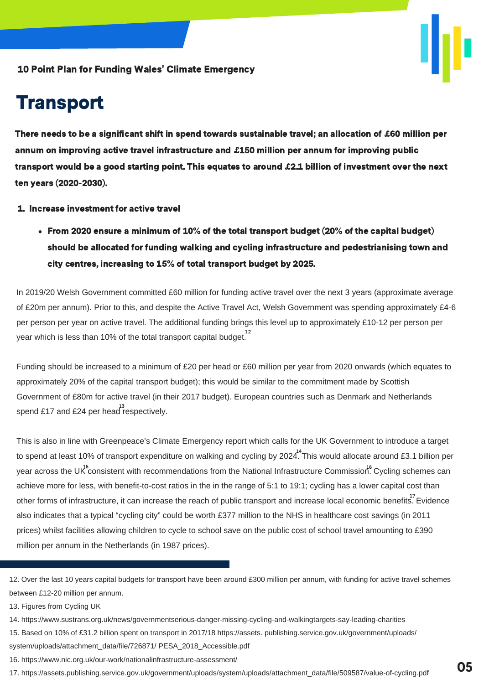### **Transport**

There needs to be a significant shift in spend towards sustainable travel; an allocation of £60 million per annum on improving active travel infrastructure and £150 million per annum for improving public transport would be a good starting point. This equates to around £2.1 billion of investment over the next ten years (2020-2030).

- 1. Increase investment for active travel
	- From 2020 ensure a minimum of 10% of the total transport budget (20% of the capital budget) should be allocated for funding walking and cycling infrastructure and pedestrianising town and city centres, increasing to 15% of total transport budget by 2025.

In 2019/20 Welsh Government committed £60 million for funding active travel over the next 3 years (approximate average of £20m per annum). Prior to this, and despite the Active Travel Act, Welsh Government was spending approximately £4-6 per person per year on active travel. The additional funding brings this level up to approximately £10-12 per person per year which is less than 10% of the total transport capital budget. $^{^{12}}$ 

Funding should be increased to a minimum of £20 per head or £60 million per year from 2020 onwards (which equates to approximately 20% of the capital transport budget); this would be similar to the commitment made by Scottish Government of £80m for active travel (in their 2017 budget). European countries such as Denmark and Netherlands spend £17 and £24 per head respectively.

This is also in line with Greenpeace's Climate Emergency report which calls for the UK Government to introduce a target to spend at least 10% of transport expenditure on walking and cycling by 2024 $^{14}$ This would allocate around £3.1 billion per year across the UK consistent with recommendations from the National Infrastructure Commission.<sup>8</sup> Cycling schemes can achieve more for less, with benefit-to-cost ratios in the in the range of 5:1 to 19:1; cycling has a lower capital cost than other forms of infrastructure, it can increase the reach of public transport and increase local economic benefits. Evidence also indicates that a typical "cycling city" could be worth £377 million to the NHS in healthcare cost savings (in 2011 prices) whilst facilities allowing children to cycle to school save on the public cost of school travel amounting to £390 million per annum in the Netherlands (in 1987 prices).

13. Figures from Cycling UK

- 14. https://www.sustrans.org.uk/news/governmentserious-danger-missing-cycling-and-walkingtargets-say-leading-charities
- 15. Based on 10% of £31.2 billion spent on transport in 2017/18 https://assets. publishing.service.gov.uk/government/uploads/ system/uploads/attachment\_data/file/726871/ PESA\_2018\_Accessible.pdf
- 16. https://www.nic.org.uk/our-work/nationalinfrastructure-assessment/
- 17. https://assets.publishing.service.gov.uk/government/uploads/system/uploads/attachment\_data/file/509587/value-of-cycling.pdf **05**

<sup>12.</sup> Over the last 10 years capital budgets for transport have been around £300 million per annum, with funding for active travel schemes between £12-20 million per annum.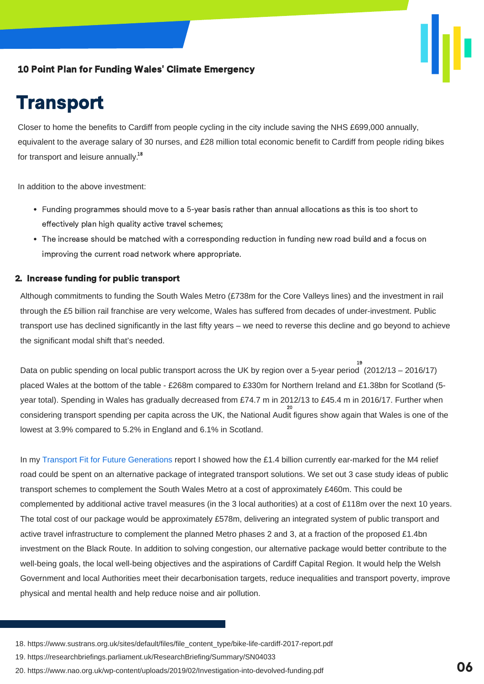### **Transport**

Closer to home the benefits to Cardiff from people cycling in the city include saving the NHS £699,000 annually, equivalent to the average salary of 30 nurses, and £28 million total economic benefit to Cardiff from people riding bikes for transport and leisure annually.<sup>18</sup>

In addition to the above investment:

- Funding programmes should move to a 5-year basis rather than annual allocations as this is too short to effectively plan high quality active travel schemes;
- The increase should be matched with a corresponding reduction in funding new road build and a focus on improving the current road network where appropriate.

#### 2. Increase funding for public transport

Although commitments to funding the South Wales Metro (£738m for the Core Valleys lines) and the investment in rail through the £5 billion rail franchise are very welcome, Wales has suffered from decades of [under-investment.](https://futuregenerations.wales/wp-content/uploads/2018/11/20180912-Transport-Fit-for-Future-Generations-C-1.pdf) Public transport use has declined significantly in the last fifty years – we need to reverse this decline and go beyond to achieve the significant modal shift that's needed.

Data on public spending on local public transport across the UK by region over a 5-year period (2012/13 – 2016/17) placed Wales at the bottom of the table - £268m compared to £330m for Northern Ireland and £1.38bn for Scotland (5 year total). Spending in Wales has gradually decreased from £74.7 m in 2012/13 to £45.4 m in 2016/17. Further when considering transport spending per capita across the UK, the National Audit figures show again that Wales is one of the 20 lowest at 3.9% compared to 5.2% in England and 6.1% in Scotland. 19

In my Transport Fit for Future Generations report I showed how the £1.4 billion currently ear-marked for the M4 relief road could be spent on an alternative package of integrated transport solutions. We set out 3 case study ideas of public transport schemes to complement the South Wales Metro at a cost of approximately £460m. This could be complemented by additional active travel measures (in the 3 local authorities) at a cost of £118m over the next 10 years. The total cost of our package would be approximately £578m, delivering an integrated system of public transport and active travel infrastructure to complement the planned Metro phases 2 and 3, at a fraction of the proposed £1.4bn investment on the Black Route. In addition to solving congestion, our alternative package would better contribute to the well-being goals, the local well-being objectives and the aspirations of Cardiff Capital Region. It would help the Welsh Government and local Authorities meet their decarbonisation targets, reduce inequalities and transport poverty, improve physical and mental health and help reduce noise and air pollution.

- 19. https://researchbriefings.parliament.uk/ResearchBriefing/Summary/SN04033
- 20. https://www.nao.org.uk/wp-content/uploads/2019/02/Investigation-into-devolved-funding.pdf **06**

<sup>18.</sup> https://www.sustrans.org.uk/sites/default/files/file\_content\_type/bike-life-cardiff-2017-report.pdf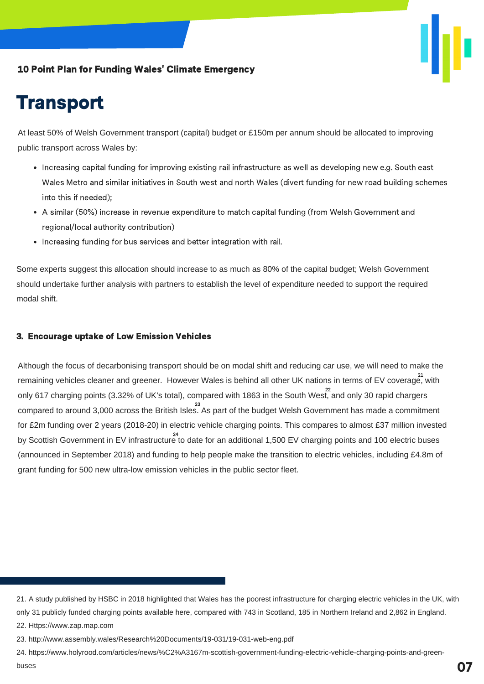### **Transport**

At least 50% of Welsh Government transport (capital) budget or £150m per annum should be allocated to improving public transport across Wales by:

- Increasing capital funding for improving existing rail infrastructure as well as developing new e.g. South east Wales Metro and similar initiatives in South west and north Wales (divert funding for new road building schemes into this if needed);
- A similar (50%) increase in revenue expenditure to match capital funding (from Welsh Government and regional/local authority contribution)
- Increasing funding for bus services and better integration with rail.

Some experts suggest this allocation should increase to as much as 80% of the capital budget; Welsh Government should undertake further analysis with partners to establish the level of expenditure needed to support the required modal shift.

#### 3. Encourage uptake of Low Emission Vehicles

Although the focus of decarbonising transport should be on modal shift and reducing car use, we will need to make the remaining vehicles cleaner and greener. However Wales is behind all other UK nations in terms of EV coverage, with 21 only 617 charging points (3.32% of UK's total), compared with 1863 in the South West, and only 30 rapid chargers compared to around 3,000 across the British Isles. As part of the budget Welsh Government has made a commitment 23 for £2m funding over 2 years (2018-20) in electric vehicle charging points. This compares to almost £37 million invested by Scottish Government in EV infrastructure to date for an additional 1,500 EV charging points and 100 electric buses (announced in September 2018) and funding to help people make the transition to electric vehicles, including £4.8m of grant funding for 500 new ultra-low emission vehicles in the public sector fleet.

<sup>21.</sup> A study published by HSBC in 2018 highlighted that Wales has the poorest infrastructure for charging electric vehicles in the UK, with only 31 publicly funded charging points available here, compared with 743 in Scotland, 185 in Northern Ireland and 2,862 in England. 22. Https://www.zap.map.com

<sup>23.</sup> http://www.assembly.wales/Research%20Documents/19-031/19-031-web-eng.pdf

<sup>24.</sup> https://www.holyrood.com/articles/news/%C2%A3167m-scottish-government-funding-electric-vehicle-charging-points-and-greenbuses **07**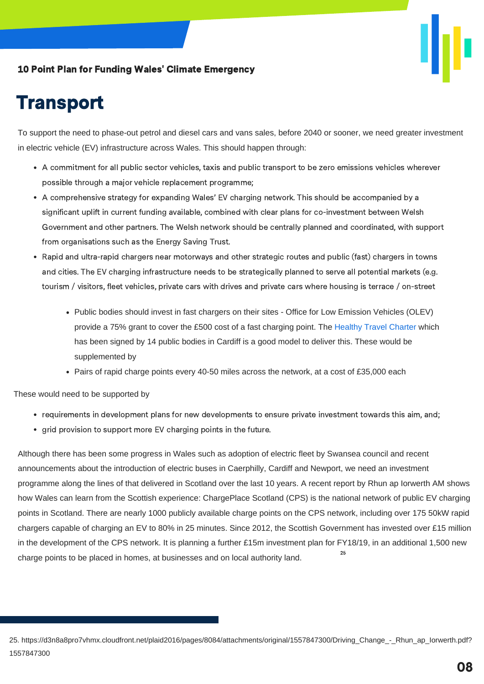



To support the need to phase-out petrol and diesel cars and vans sales, before 2040 or sooner, we need greater investment in electric vehicle (EV) infrastructure across Wales. This should happen through:

- A commitment for all public sector vehicles, taxis and public transport to be zero emissions vehicles wherever possible through a major vehicle replacement programme;
- A comprehensive strategy for expanding Wales' EV charging network. This should be accompanied by a significant uplift in current funding available, combined with clear plans for co-investment between Welsh Government and other partners. The Welsh network should be centrally planned and coordinated, with support from organisations such as the Energy Saving Trust.
- Rapid and ultra-rapid chargers near motorways and other strategic routes and public (fast) chargers in towns and cities. The EV charging infrastructure needs to be strategically planned to serve all potential markets (e.g. tourism / visitors, fleet vehicles, private cars with drives and private cars where housing is terrace / on-street
	- Public bodies should invest in fast chargers on their sites Office for Low Emission Vehicles (OLEV) provide a 75% grant to cover the £500 cost of a fast charging point. The Healthy Travel Charter which has been signed by 14 public bodies in Cardiff is a good model to deliver this. These would be [supplemented](https://futuregenerations.wales/get-inspired-posts/healthy-travel-charter/) by
	- Pairs of rapid charge points every 40-50 miles across the network, at a cost of £35,000 each

These would need to be supported by

- requirements in development plans for new developments to ensure private investment towards this aim, and;
- grid provision to support more EV charging points in the future.

Although there has been some progress in Wales such as adoption of electric fleet by Swansea council and recent announcements about the introduction of electric buses in Caerphilly, Cardiff and Newport, we need an investment programme along the lines of that delivered in Scotland over the last 10 years. A recent report by Rhun ap Iorwerth AM shows how Wales can learn from the Scottish experience: ChargePlace Scotland (CPS) is the national network of public EV charging points in Scotland. There are nearly 1000 publicly available charge points on the CPS network, including over 175 50kW rapid chargers capable of charging an EV to 80% in 25 minutes. Since 2012, the Scottish Government has invested over £15 million in the development of the CPS network. It is planning a further £15m investment plan for FY18/19, in an additional 1,500 new charge points to be placed in homes, at businesses and on local authority land. 25

<sup>25.</sup> https://d3n8a8pro7vhmx.cloudfront.net/plaid2016/pages/8084/attachments/original/1557847300/Driving\_Change - Rhun\_ap\_Iorwerth.pdf? 1557847300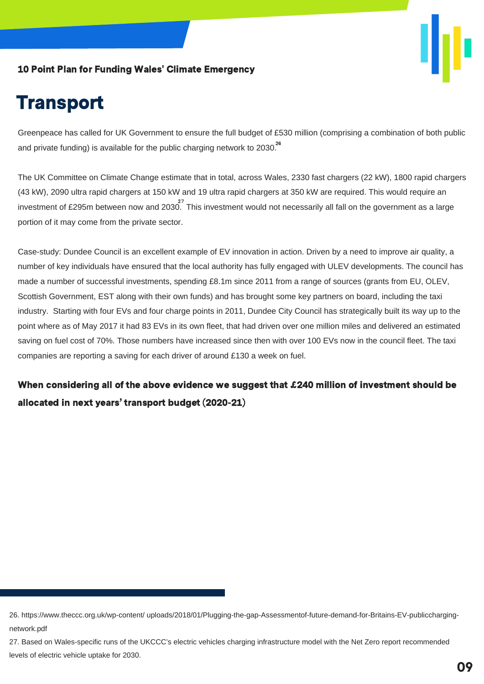

### **Transport**

Greenpeace has called for UK Government to ensure the full budget of £530 million (comprising a combination of both public and private funding) is available for the public charging network to 2030. $^{26}$ 

The UK Committee on Climate Change estimate that in total, across Wales, 2330 fast chargers (22 kW), 1800 rapid chargers (43 kW), 2090 ultra rapid chargers at 150 kW and 19 ultra rapid chargers at 350 kW are required. This would require an investment of £295m between now and 2030. This investment would not necessarily all fall on the government as a large portion of it may come from the private sector.

Case-study: Dundee Council is an excellent example of EV innovation in action. Driven by a need to improve air quality, a number of key individuals have ensured that the local authority has fully engaged with ULEV developments. The council has made a number of successful investments, spending £8.1m since 2011 from a range of sources (grants from EU, OLEV, Scottish Government, EST along with their own funds) and has brought some key partners on board, including the taxi industry. Starting with four EVs and four charge points in 2011, Dundee City Council has strategically built its way up to the point where as of May 2017 it had 83 EVs in its own fleet, that had driven over one million miles and delivered an estimated saving on fuel cost of 70%. Those numbers have increased since then with over 100 EVs now in the council fleet. The taxi companies are reporting a saving for each driver of around £130 a week on fuel.

When considering all of the above evidence we suggest that £240 million of investment should be allocated in next years' transport budget (2020-21)

<sup>26.</sup> https://www.theccc.org.uk/wp-content/ uploads/2018/01/Plugging-the-gap-Assessmentof-future-demand-for-Britains-EV-publicchargingnetwork.pdf

<sup>27.</sup> Based on Wales-specific runs of the UKCCC's electric vehicles charging infrastructure model with the Net Zero report recommended levels of electric vehicle uptake for 2030.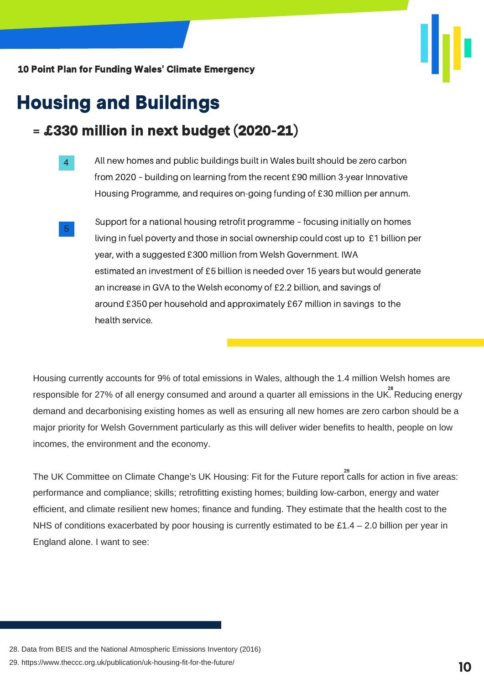

### Housing and Buildings

### = £330 million in next budget (2020-21)

- All new homes and public buildings built in Wales built should be zero carbon from 2020 – building on learning from the recent £90 million 3-year Innovative Housing Programme, and requires on-going funding of £30 million per annum. 4
- Support for a national housing retrofit programme focusing initially on homes living in fuel poverty and those in social ownership could cost up to £1 billion per year, with a suggested £300 million from Welsh Government. IWA estimated an investment of £5 billion is needed over 15 years but would generate an increase in GVA to the Welsh economy of £2.2 billion, and savings of around £350 per household and approximately £67 million in savings to the health service. 5

Housing currently accounts for 9% of total emissions in Wales, although the 1.4 million Welsh homes are responsible for 27% of all energy consumed and around a quarter all emissions in the UK.  $\overset{\text{28}}{\text{8}}$ Reducing energy demand and decarbonising existing homes as well as ensuring all new homes are zero carbon should be a major priority for Welsh Government particularly as this will deliver wider benefits to health, people on low incomes, the environment and the economy.

The UK Committee on Climate Change's UK Housing: Fit for the Future report  $\stackrel{29}{\text{calls}}$  for action in five areas: performance and compliance; skills; retrofitting existing homes; building low-carbon, energy and water efficient, and climate resilient new homes; finance and funding. They estimate that the health cost to the NHS of conditions exacerbated by poor housing is currently estimated to be £1.4 – 2.0 billion per year in England alone. I want to see:

- 28. Data from BEIS and the National Atmospheric Emissions Inventory (2016)
- 29. https://www.theccc.org.uk/publication/uk-housing-fit-for-the-future/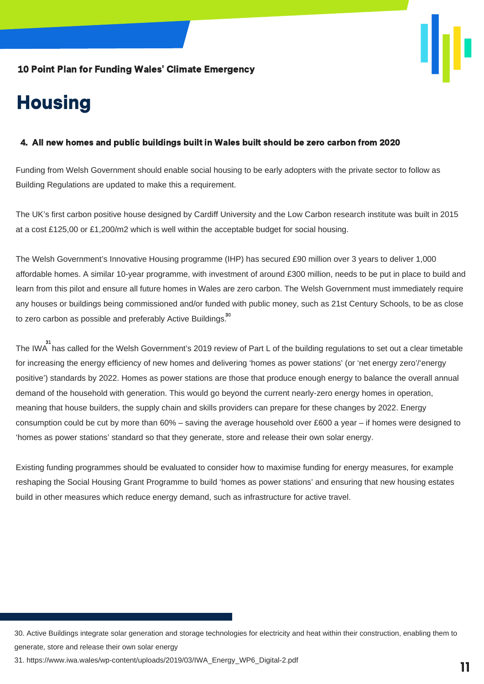

# **Housing**

#### 4. All new homes and public buildings built in Wales built should be zero carbon from 2020

Funding from Welsh Government should enable social housing to be early adopters with the private sector to follow as Building Regulations are updated to make this a requirement.

The UK's first carbon positive house designed by Cardiff University and the Low Carbon research institute was built in 2015 at a cost £125,00 or £1,200/m2 which is well within the acceptable budget for social housing.

The Welsh Government's Innovative Housing programme (IHP) has secured £90 million over 3 years to deliver 1,000 affordable homes. A similar 10-year programme, with investment of around £300 million, needs to be put in place to build and learn from this pilot and ensure all future homes in Wales are zero carbon. The Welsh Government must immediately require any houses or buildings being commissioned and/or funded with public money, such as 21st Century Schools, to be as close to zero carbon as possible and preferably Active Buildings. $^{\rm 30}$ 

The IWA has called for the Welsh Government's 2019 review of Part L of the building regulations to set out a clear timetable for increasing the energy efficiency of new homes and delivering 'homes as power stations' (or 'net energy zero'/'energy positive') standards by 2022. Homes as power stations are those that produce enough energy to balance the overall annual demand of the household with generation. This would go beyond the current nearly-zero energy homes in operation, meaning that house builders, the supply chain and skills providers can prepare for these changes by 2022. Energy consumption could be cut by more than 60% – saving the average household over £600 a year – if homes were designed to 'homes as power stations' standard so that they generate, store and release their own solar energy.

Existing funding programmes should be evaluated to consider how to maximise funding for energy measures, for example reshaping the Social Housing Grant Programme to build 'homes as power stations' and ensuring that new housing estates build in other measures which reduce energy demand, such as infrastructure for active travel.

<sup>30.</sup> Active Buildings integrate solar generation and storage technologies for electricity and heat within their construction, enabling them to generate, store and release their own solar energy

<sup>31.</sup> https://www.iwa.wales/wp-content/uploads/2019/03/IWA\_Energy\_WP6\_Digital-2.pdf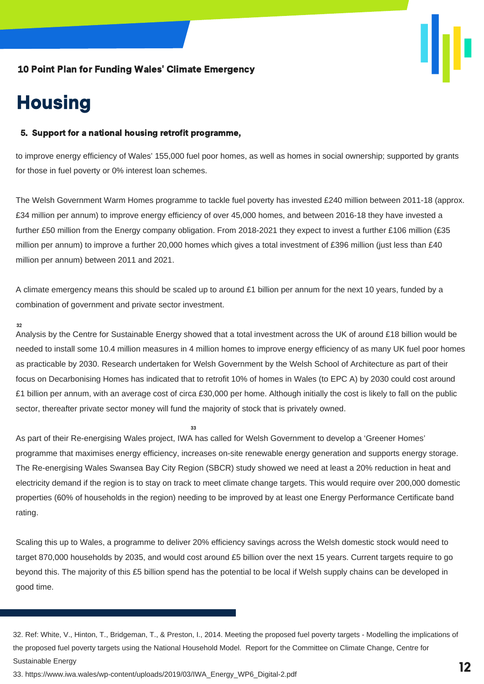

### **Housing**

#### 5. Support for a national housing retrofit programme,

to improve energy efficiency of Wales' 155,000 fuel poor homes, as well as homes in social ownership; supported by grants for those in fuel poverty or 0% interest loan schemes.

The Welsh Government Warm Homes programme to tackle fuel poverty has invested £240 million between 2011-18 (approx. £34 million per annum) to improve energy efficiency of over 45,000 homes, and between 2016-18 they have invested a further £50 million from the Energy company obligation. From 2018-2021 they expect to invest a further £106 million (£35 million per annum) to improve a further 20,000 homes which gives a total investment of £396 million (just less than £40 million per annum) between 2011 and 2021.

A climate emergency means this should be scaled up to around £1 billion per annum for the next 10 years, funded by a combination of government and private sector investment.

#### 32

Analysis by the Centre for Sustainable Energy showed that a total investment across the UK of around £18 billion would be needed to install some 10.4 million measures in 4 million homes to improve energy efficiency of as many UK fuel poor homes as practicable by 2030. Research undertaken for Welsh Government by the Welsh School of Architecture as part of their focus on Decarbonising Homes has indicated that to retrofit 10% of homes in Wales (to EPC A) by 2030 could cost around £1 billion per annum, with an average cost of circa £30,000 per home. Although initially the cost is likely to fall on the public sector, thereafter private sector money will fund the majority of stock that is privately owned.

As part of their Re-energising Wales project, IWA has called for Welsh Government to develop a 'Greener Homes' programme that maximises energy efficiency, increases on-site renewable energy generation and supports energy storage. The Re-energising Wales Swansea Bay City Region (SBCR) study showed we need at least a 20% reduction in heat and electricity demand if the region is to stay on track to meet climate change targets. This would require over 200,000 domestic properties (60% of households in the region) needing to be improved by at least one Energy Performance Certificate band rating.

 $33$ 

Scaling this up to Wales, a programme to deliver 20% efficiency savings across the Welsh domestic stock would need to target 870,000 households by 2035, and would cost around £5 billion over the next 15 years. Current targets require to go beyond this. The majority of this £5 billion spend has the potential to be local if Welsh supply chains can be developed in good time.

<sup>32.</sup> Ref: White, V., Hinton, T., Bridgeman, T., & Preston, I., 2014. Meeting the proposed fuel poverty targets - Modelling the implications of the proposed fuel poverty targets using the National Household Model. Report for the Committee on Climate Change, Centre for Sustainable Energy

<sup>33.</sup> https://www.iwa.wales/wp-content/uploads/2019/03/IWA\_Energy\_WP6\_Digital-2.pdf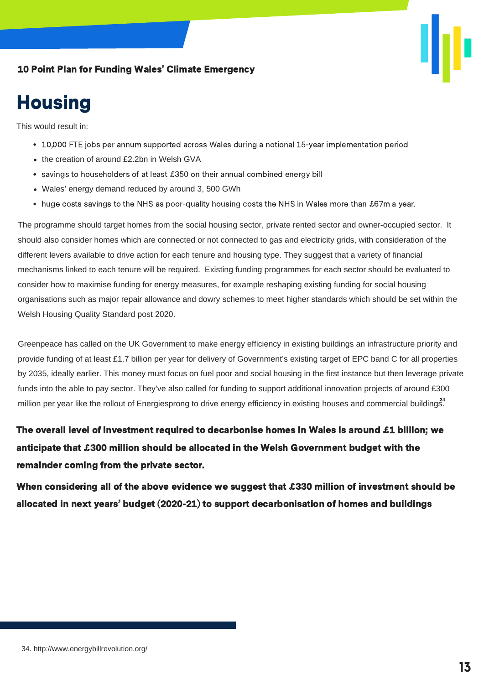

### **Housing**

This would result in:

- 10,000 FTE jobs per annum supported across Wales during a notional 15-year implementation period
- the creation of around £2.2bn in Welsh GVA
- savings to householders of at least £350 on their annual combined energy bill
- Wales' energy demand reduced by around 3, 500 GWh
- huge costs savings to the NHS as poor-quality housing costs the NHS in Wales more than £67m a year.

The programme should target homes from the social housing sector, private rented sector and owner-occupied sector. It should also consider homes which are connected or not connected to gas and electricity grids, with consideration of the different levers available to drive action for each tenure and housing type. They suggest that a variety of financial mechanisms linked to each tenure will be required. Existing funding programmes for each sector should be evaluated to consider how to maximise funding for energy measures, for example reshaping existing funding for social housing organisations such as major repair allowance and dowry schemes to meet higher standards which should be set within the Welsh Housing Quality Standard post 2020.

Greenpeace has called on the UK Government to make energy efficiency in existing buildings an infrastructure priority and provide funding of at least £1.7 billion per year for delivery of Government's existing target of EPC band C for all properties by 2035, ideally earlier. This money must focus on fuel poor and social housing in the first instance but then leverage private funds into the able to pay sector. They've also called for funding to support additional innovation projects of around £300 million per year like the rollout of Energiesprong to drive energy efficiency in existing houses and commercial buildings<sup>3</sup>.

The overall level of investment required to decarbonise homes in Wales is around £1 billion; we anticipate that £300 million should be allocated in the Welsh Government budget with the remainder coming from the private sector.

When considering all of the above evidence we suggest that £330 million of investment should be 33 allocated in next years' budget (2020-21) to support decarbonisation of homes and buildings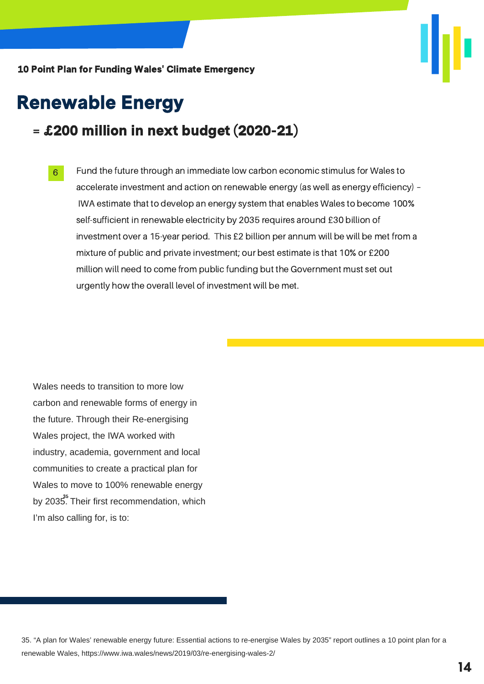

### Renewable Energy

### = £200 million in next budget (2020-21)

Fund the future through an immediate low carbon economic stimulus for Wales to accelerate investment and action on renewable energy (as well as energy efficiency) – IWA estimate that to develop an energy system that enables Wales to become 100% self-sufficient in renewable electricity by 2035 requires around £30 billion of investment over a 15-year period. This £2 billion per annum will be will be met from a mixture of public and private investment; our best estimate is that 10% or £200 million will need to come from public funding but the Government must set out urgently how the overall level of investment will be met. 6

Wales needs to transition to more low carbon and renewable forms of energy in the future. Through their Re-energising Wales project, the IWA worked with industry, academia, government and local communities to create a practical plan for Wales to move to 100% renewable energy by 2035. Their first recommendation, which I'm also calling for, is to:

35. "A plan for Wales' renewable energy future: Essential actions to re-energise Wales by 2035" report outlines a 10 point plan for a renewable Wales, https://www.iwa.wales/news/2019/03/re-energising-wales-2/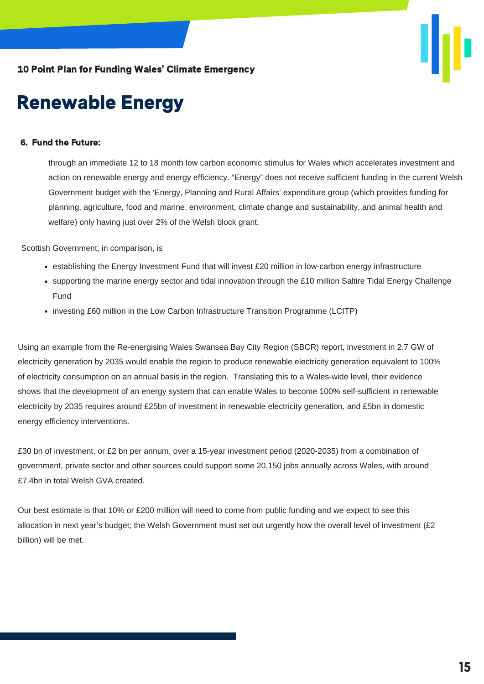

### Renewable Energy

#### 6. Fund the Future:

through an immediate 12 to 18 month low carbon economic stimulus for Wales which accelerates investment and action on renewable energy and energy efficiency. "Energy" does not receive sufficient funding in the current Welsh Government budget with the 'Energy, Planning and Rural Affairs' expenditure group (which provides funding for planning, agriculture, food and marine, environment, climate change and sustainability, and animal health and welfare) only having just over 2% of the Welsh block grant.

Scottish Government, in comparison, is

- $\bullet$  establishing the Energy Investment Fund that will invest £20 million in low-carbon energy infrastructure
- supporting the marine energy sector and tidal innovation through the £10 million Saltire Tidal Energy Challenge Fund
- investing £60 million in the Low Carbon Infrastructure Transition Programme (LCITP)

Using an example from the Re-energising Wales Swansea Bay City Region (SBCR) report, investment in 2.7 GW of electricity generation by 2035 would enable the region to produce renewable electricity generation equivalent to 100% of electricity consumption on an annual basis in the region. Translating this to a Wales-wide level, their evidence shows that the development of an energy system that can enable Wales to become 100% self-sufficient in renewable electricity by 2035 requires around £25bn of investment in renewable electricity generation, and £5bn in domestic energy efficiency interventions.

£30 bn of investment, or £2 bn per annum, over a 15-year investment period (2020-2035) from a combination of government, private sector and other sources could support some 20,150 jobs annually across Wales, with around £7.4bn in total Welsh GVA created.

Our best estimate is that 10% or £200 million will need to come from public funding and we expect to see this allocation in next year's budget; the Welsh Government must set out urgently how the overall level of investment (£2 billion) will be met.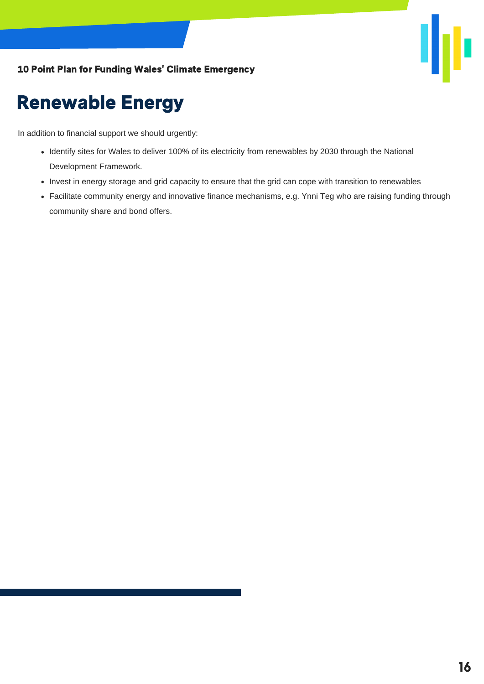

### Renewable Energy

In addition to financial support we should urgently:

- Identify sites for Wales to deliver 100% of its electricity from renewables by 2030 through the National Development Framework.
- Invest in energy storage and grid capacity to ensure that the grid can cope with transition to renewables
- Facilitate community energy and innovative finance mechanisms, e.g. Ynni Teg who are raising funding through community share and bond offers.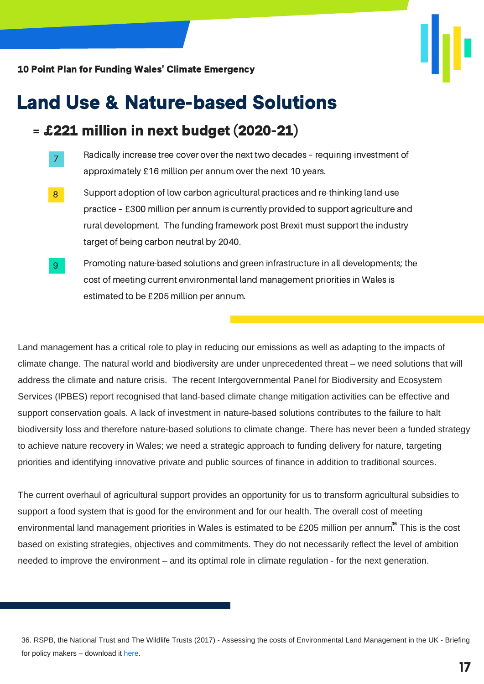

### Land Use & Nature-based Solutions

### = £221 million in next budget (2020-21)

- Radically increase tree cover over the next two decades requiring investment of approximately £16 million per annum over the next 10 years. 7
- Support adoption of low carbon agricultural practices and re-thinking land-use practice – £300 million per annum is currently provided to support agriculture and rural development. The funding framework post Brexit must support the industry target of being carbon neutral by 2040. 8
- Promoting nature-based solutions and green infrastructure in all developments; the cost of meeting current environmental land management priorities in Wales is estimated to be £205 million per annum. 9

Land management has a critical role to play in reducing our emissions as well as adapting to the impacts of climate change. The natural world and biodiversity are under unprecedented threat – we need solutions that will address the climate and nature crisis. The recent Intergovernmental Panel for Biodiversity and Ecosystem Services (IPBES) report recognised that land-based climate change mitigation activities can be effective and support conservation goals. A lack of investment in nature-based solutions contributes to the failure to halt biodiversity loss and therefore nature-based solutions to climate change. There has never been a funded strategy to achieve nature recovery in Wales; we need a strategic approach to funding delivery for nature, targeting priorities and identifying innovative private and public sources of finance in addition to traditional sources.

The current overhaul of agricultural support provides an opportunity for us to transform agricultural subsidies to support a food system that is good for the environment and for our health. The overall cost of meeting environmental land management priorities in Wales is estimated to be £205 million per annum $^{36}$  This is the cost based on existing strategies, objectives and commitments. They do not necessarily reflect the level of ambition needed to improve the environment – and its optimal role in climate regulation - for the next generation.

<sup>36.</sup> RSPB, the National Trust and The Wildlife Trusts (2017) - Assessing the costs of [Environmental](https://ww2.rspb.org.uk/Images/Assessing%20the%20costs%20of%20Environmental%20Land%20Management%20in%20the%20UK%20Policy%20Briefing_tcm9-449500.pdf) Land Management in the UK - Briefing for policy makers – download it here.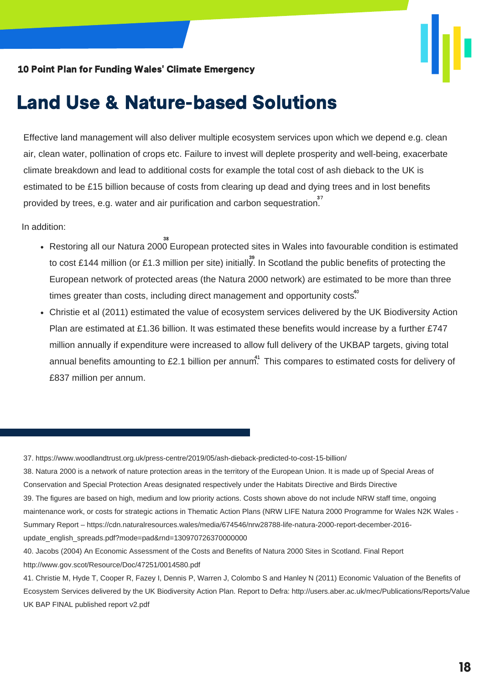

### Land Use & Nature-based Solutions

Effective land management will also deliver multiple ecosystem services upon which we depend e.g. clean air, clean water, pollination of crops etc. Failure to invest will deplete prosperity and well-being, exacerbate climate breakdown and lead to additional costs for example the total cost of ash dieback to the UK is estimated to be £15 billion because of costs from clearing up dead and dying trees and in lost benefits provided by trees, e.g. water and air purification and carbon sequestration.<sup>37</sup>

In addition:

- Restoring all our Natura 2000 European protected sites in Wales into favourable condition is estimated 38 to cost £144 million (or £1.3 million per site) initially. In Scotland the public benefits of protecting the European network of protected areas (the Natura 2000 network) are estimated to be more than three times greater than costs, including direct management and opportunity costs. $40^\circ$
- Christie et al (2011) estimated the value of ecosystem services delivered by the UK Biodiversity Action Plan are estimated at £1.36 billion. It was estimated these benefits would increase by a further £747 million annually if expenditure were increased to allow full delivery of the UKBAP targets, giving total annual benefits amounting to £2.1 billion per annum $^{41}$  This compares to estimated costs for delivery of £837 million per annum.

37. https://www.woodlandtrust.org.uk/press-centre/2019/05/ash-dieback-predicted-to-cost-15-billion/

38. Natura 2000 is a network of nature protection areas in the territory of the European Union. It is made up of Special Areas of Conservation and Special Protection Areas designated respectively under the Habitats Directive and Birds Directive 39. The figures are based on high, medium and low priority actions. Costs shown above do not include NRW staff time, ongoing maintenance work, or costs for strategic actions in Thematic Action Plans (NRW LIFE Natura 2000 Programme for Wales N2K Wales -Summary Report – https://cdn.naturalresources.wales/media/674546/nrw28788-life-natura-2000-report-december-2016 update\_english\_spreads.pdf?mode=pad&rnd=130970726370000000

<sup>40.</sup> Jacobs (2004) An Economic Assessment of the Costs and Benefits of Natura 2000 Sites in Scotland. Final Report http://www.gov.scot/Resource/Doc/47251/0014580.pdf

<sup>41.</sup> Christie M, Hyde T, Cooper R, Fazey I, Dennis P, Warren J, Colombo S and Hanley N (2011) Economic Valuation of the Benefits of Ecosystem Services delivered by the UK Biodiversity Action Plan. Report to Defra: http://users.aber.ac.uk/mec/Publications/Reports/Value UK BAP FINAL published report v2.pdf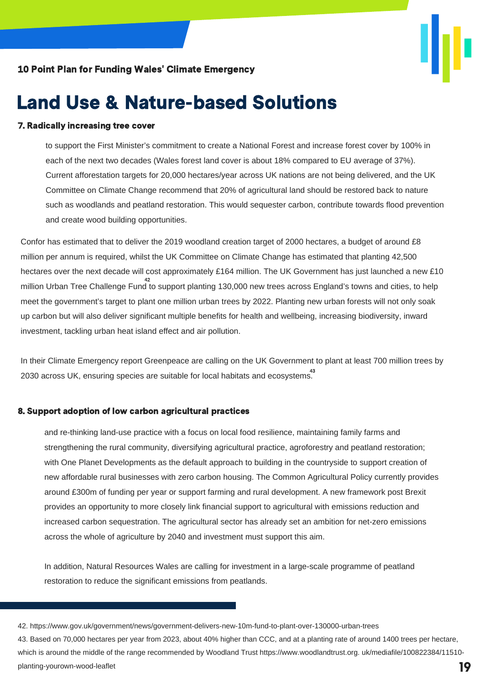

### Land Use & Nature-based Solutions

#### 7. Radically increasing tree cover

to support the First Minister's commitment to create a National Forest and increase forest cover by 100% in each of the next two decades (Wales forest land cover is about 18% compared to EU average of 37%). Current afforestation targets for 20,000 hectares/year across UK nations are not being delivered, and the UK Committee on Climate Change recommend that 20% of agricultural land should be restored back to nature such as woodlands and peatland restoration. This would sequester carbon, contribute towards flood prevention and create wood building opportunities.

Confor has estimated that to deliver the 2019 woodland creation target of 2000 hectares, a budget of around £8 million per annum is required, whilst the UK Committee on Climate Change has estimated that planting 42,500 hectares over the next decade will cost approximately £164 million. The UK Government has just launched a new £10 million Urban Tree Challenge Fund to support planting 130,000 new trees across England's towns and cities, to help 42 meet the government's target to plant one million urban trees by 2022. Planting new urban forests will not only soak up carbon but will also deliver significant multiple benefits for health and wellbeing, increasing biodiversity, inward investment, tackling urban heat island effect and air pollution.

In their Climate Emergency report Greenpeace are calling on the UK Government to plant at least 700 million trees by 2030 across UK, ensuring species are suitable for local habitats and ecosystems. 43

#### 8. Support adoption of low carbon agricultural practices

and re-thinking land-use practice with a focus on local food resilience, maintaining family farms and strengthening the rural community, diversifying agricultural practice, agroforestry and peatland restoration; with One Planet Developments as the default approach to building in the countryside to support creation of new affordable rural businesses with zero carbon housing. The Common Agricultural Policy currently provides around £300m of funding per year or support farming and rural development. A new framework post Brexit provides an opportunity to more closely link financial support to agricultural with emissions reduction and increased carbon sequestration. The agricultural sector has already set an ambition for net-zero emissions across the whole of agriculture by 2040 and investment must support this aim.

In addition, Natural Resources Wales are calling for investment in a large-scale programme of peatland restoration to reduce the significant emissions from peatlands.

43. Based on 70,000 hectares per year from 2023, about 40% higher than CCC, and at a planting rate of around 1400 trees per hectare, which is around the middle of the range recommended by Woodland Trust https://www.woodlandtrust.org. uk/mediafile/100822384/11510planting-yourown-wood-leaflet **19**

<sup>42.</sup> https://www.gov.uk/government/news/government-delivers-new-10m-fund-to-plant-over-130000-urban-trees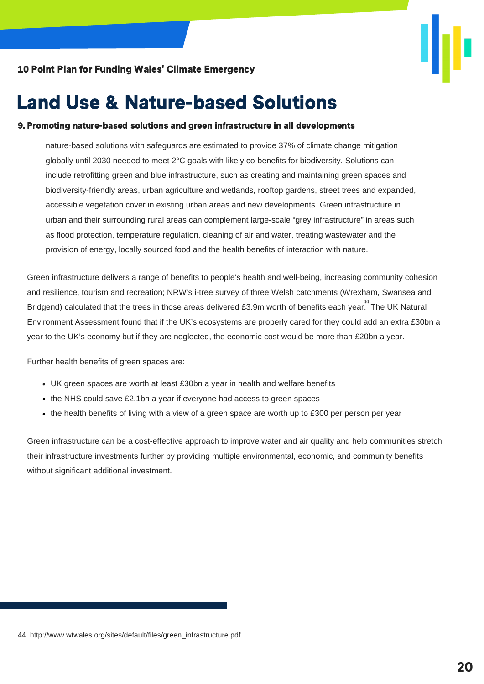

### Land Use & Nature-based Solutions

#### 9. Promoting nature-based solutions and green infrastructure in all developments

nature-based solutions with safeguards are estimated to provide 37% of climate change mitigation globally until 2030 needed to meet 2°C goals with likely co-benefits for biodiversity. Solutions can include retrofitting green and blue infrastructure, such as creating and maintaining green spaces and biodiversity-friendly areas, urban agriculture and wetlands, rooftop gardens, street trees and expanded, accessible vegetation cover in existing urban areas and new developments. Green infrastructure in urban and their surrounding rural areas can complement large-scale "grey infrastructure" in areas such as flood protection, temperature regulation, cleaning of air and water, treating wastewater and the provision of energy, locally sourced food and the health benefits of interaction with nature.

Green infrastructure delivers a range of benefits to people's health and well-being, increasing community cohesion and resilience, tourism and recreation; NRW's i-tree survey of three Welsh catchments (Wrexham, Swansea and Bridgend) calculated that the trees in those areas delivered £3.9m worth of benefits each year. The UK Natural Environment Assessment found that if the UK's ecosystems are properly cared for they could add an extra £30bn a year to the UK's economy but if they are neglected, the economic cost would be more than £20bn a year.

Further health benefits of green spaces are:

- UK green spaces are worth at least £30bn a year in health and welfare benefits
- the NHS could save £2.1bn a year if everyone had access to green spaces
- the health benefits of living with a view of a green space are worth up to £300 per person per year

Green infrastructure can be a cost-effective approach to improve water and air quality and help communities stretch their infrastructure investments further by providing multiple environmental, economic, and community benefits without significant additional investment.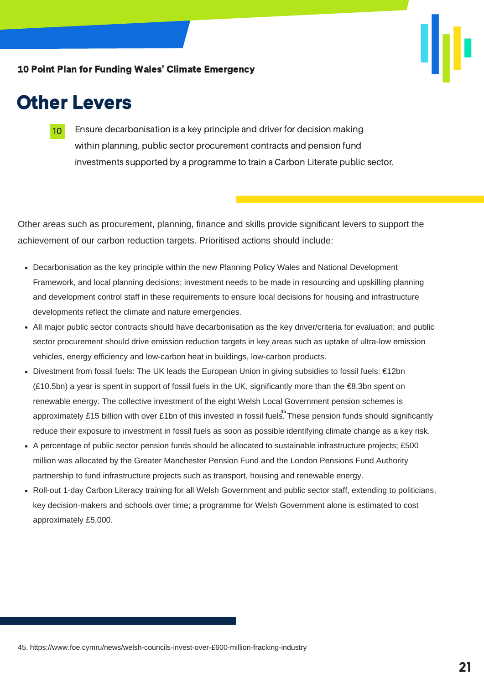

### Other Levers

Ensure decarbonisation is a key principle and driver for decision making within planning, public sector procurement contracts and pension fund investments supported by a programme to train a Carbon Literate public sector. 10

Other areas such as procurement, planning, finance and skills provide significant levers to support the achievement of our carbon reduction targets. Prioritised actions should include:

- Decarbonisation as the key principle within the new Planning Policy Wales and National Development Framework, and local planning decisions; investment needs to be made in resourcing and upskilling planning and development control staff in these requirements to ensure local decisions for housing and infrastructure developments reflect the climate and nature emergencies.
- All major public sector contracts should have decarbonisation as the key driver/criteria for evaluation; and public sector procurement should drive emission reduction targets in key areas such as uptake of ultra-low emission vehicles, energy efficiency and low-carbon heat in buildings, low-carbon products.
- Divestment from fossil fuels: The UK leads the European Union in giving subsidies to fossil fuels: €12bn (£10.5bn) a year is spent in support of fossil fuels in the UK, significantly more than the €8.3bn spent on renewable energy. The collective investment of the eight Welsh Local Government pension schemes is approximately £15 billion with over £1bn of this invested in fossil fuels. These pension funds should significantly reduce their exposure to investment in fossil fuels as soon as possible identifying climate change as a key risk.
- A percentage of public sector pension funds should be allocated to sustainable infrastructure projects; £500 million was allocated by the Greater Manchester Pension Fund and the London Pensions Fund Authority partnership to fund infrastructure projects such as transport, housing and renewable energy.
- Roll-out 1-day Carbon Literacy training for all Welsh Government and public sector staff, extending to politicians, key decision-makers and schools over time; a programme for Welsh Government alone is estimated to cost approximately £5,000.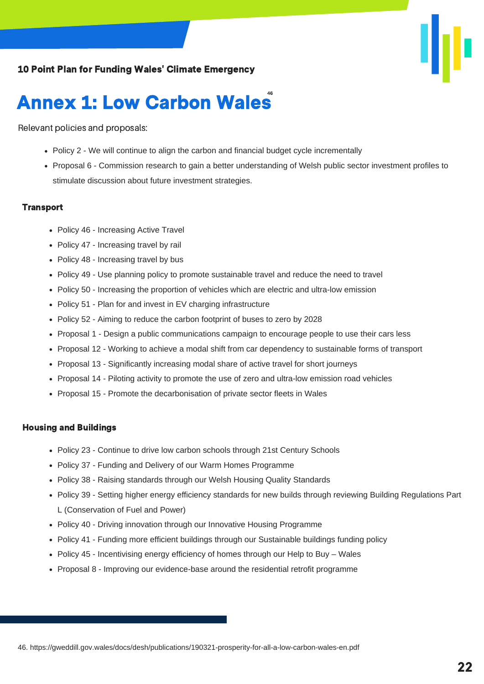### **Annex 1: Low Carbon Wales**

Relevant policies and proposals:

- Policy 2 We will continue to align the carbon and financial budget cycle incrementally
- Proposal 6 Commission research to gain a better understanding of Welsh public sector investment profiles to stimulate discussion about future investment strategies.

#### **Transport**

- Policy 46 Increasing Active Travel
- Policy 47 Increasing travel by rail
- Policy 48 Increasing travel by bus
- Policy 49 Use planning policy to promote sustainable travel and reduce the need to travel
- Policy 50 Increasing the proportion of vehicles which are electric and ultra-low emission
- Policy 51 Plan for and invest in EV charging infrastructure
- Policy 52 Aiming to reduce the carbon footprint of buses to zero by 2028
- Proposal 1 Design a public communications campaign to encourage people to use their cars less
- Proposal 12 Working to achieve a modal shift from car dependency to sustainable forms of transport
- Proposal 13 Significantly increasing modal share of active travel for short journeys
- Proposal 14 Piloting activity to promote the use of zero and ultra-low emission road vehicles
- Proposal 15 Promote the decarbonisation of private sector fleets in Wales

#### Housing and Buildings

- Policy 23 Continue to drive low carbon schools through 21st Century Schools
- Policy 37 Funding and Delivery of our Warm Homes Programme
- Policy 38 Raising standards through our Welsh Housing Quality Standards
- Policy 39 Setting higher energy efficiency standards for new builds through reviewing Building Regulations Part L (Conservation of Fuel and Power)
- Policy 40 Driving innovation through our Innovative Housing Programme
- Policy 41 Funding more efficient buildings through our Sustainable buildings funding policy
- Policy 45 Incentivising energy efficiency of homes through our Help to Buy Wales
- Proposal 8 Improving our evidence-base around the residential retrofit programme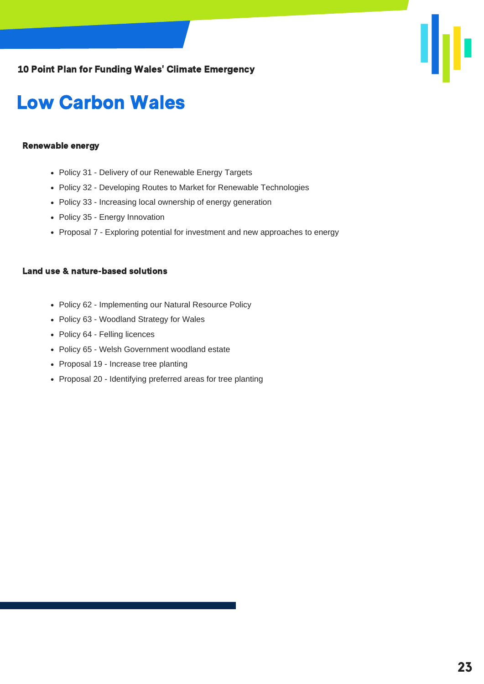

### Low Carbon Wales

#### Renewable energy

- Policy 31 Delivery of our Renewable Energy Targets
- Policy 32 Developing Routes to Market for Renewable Technologies
- Policy 33 Increasing local ownership of energy generation
- Policy 35 Energy Innovation
- Proposal 7 Exploring potential for investment and new approaches to energy

#### Land use & nature-based solutions

- Policy 62 Implementing our Natural Resource Policy
- Policy 63 Woodland Strategy for Wales
- Policy 64 Felling licences
- Policy 65 Welsh Government woodland estate
- Proposal 19 Increase tree planting
- Proposal 20 Identifying preferred areas for tree planting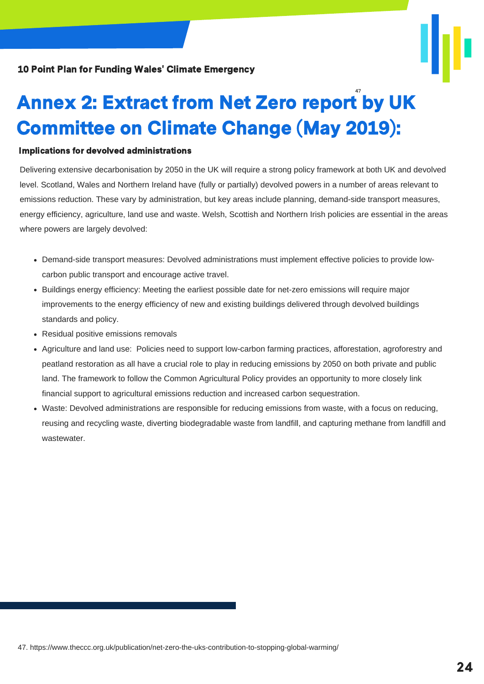

# Annex 2: Extract from Net Zero report by UK Committee on Climate Change (May 2019):

#### Implications for devolved administrations

Delivering extensive decarbonisation by 2050 in the UK will require a strong policy framework at both UK and devolved level. Scotland, Wales and Northern Ireland have (fully or partially) devolved powers in a number of areas relevant to emissions reduction. These vary by administration, but key areas include planning, demand-side transport measures, energy efficiency, agriculture, land use and waste. Welsh, Scottish and Northern Irish policies are essential in the areas where powers are largely devolved:

- Demand-side transport measures: Devolved administrations must implement effective policies to provide lowcarbon public transport and encourage active travel.
- Buildings energy efficiency: Meeting the earliest possible date for net-zero emissions will require major improvements to the energy efficiency of new and existing buildings delivered through devolved buildings standards and policy.
- Residual positive emissions removals
- Agriculture and land use: Policies need to support low-carbon farming practices, afforestation, agroforestry and peatland restoration as all have a crucial role to play in reducing emissions by 2050 on both private and public land. The framework to follow the Common Agricultural Policy provides an opportunity to more closely link financial support to agricultural emissions reduction and increased carbon sequestration.
- Waste: Devolved administrations are responsible for reducing emissions from waste, with a focus on reducing, reusing and recycling waste, diverting biodegradable waste from landfill, and capturing methane from landfill and wastewater.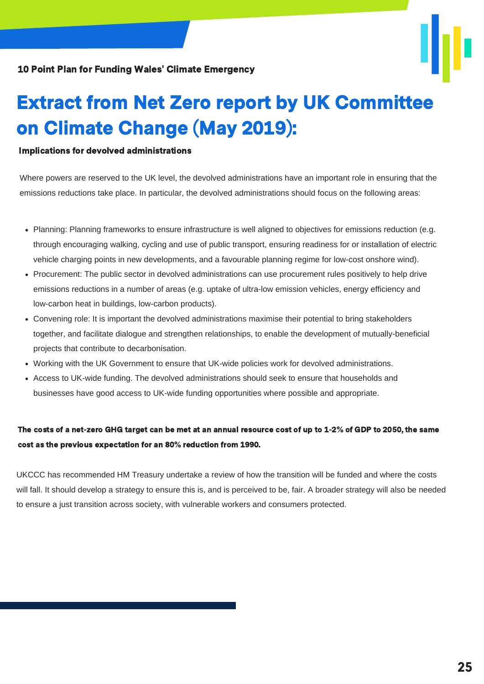

### Extract from Net Zero report by UK Committee on Climate Change (May 2019):

#### Implications for devolved administrations

Where powers are reserved to the UK level, the devolved administrations have an important role in ensuring that the emissions reductions take place. In particular, the devolved administrations should focus on the following areas:

- Planning: Planning frameworks to ensure infrastructure is well aligned to objectives for emissions reduction (e.g. through encouraging walking, cycling and use of public transport, ensuring readiness for or installation of electric vehicle charging points in new developments, and a favourable planning regime for low-cost onshore wind).
- Procurement: The public sector in devolved administrations can use procurement rules positively to help drive emissions reductions in a number of areas (e.g. uptake of ultra-low emission vehicles, energy efficiency and low-carbon heat in buildings, low-carbon products).
- Convening role: It is important the devolved administrations maximise their potential to bring stakeholders together, and facilitate dialogue and strengthen relationships, to enable the development of mutually-beneficial projects that contribute to decarbonisation.
- Working with the UK Government to ensure that UK-wide policies work for devolved administrations.
- Access to UK-wide funding. The devolved administrations should seek to ensure that households and businesses have good access to UK-wide funding opportunities where possible and appropriate.

### The costs of a net-zero GHG target can be met at an annual resource cost of up to 1-2% of GDP to 2050, the same cost as the previous expectation for an 80% reduction from 1990.

UKCCC has recommended HM Treasury undertake a review of how the transition will be funded and where the costs will fall. It should develop a strategy to ensure this is, and is perceived to be, fair. A broader strategy will also be needed to ensure a just transition across society, with vulnerable workers and consumers protected.